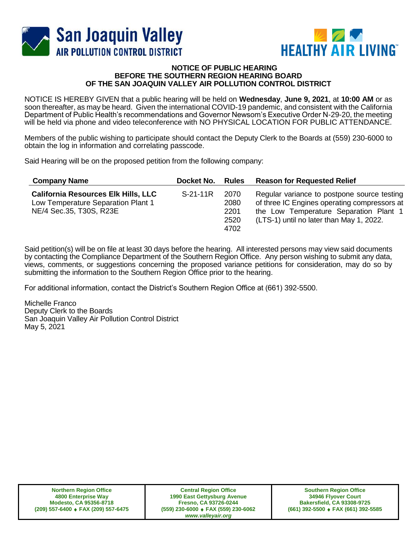



## **NOTICE OF PUBLIC HEARING BEFORE THE SOUTHERN REGION HEARING BOARD OF THE SAN JOAQUIN VALLEY AIR POLLUTION CONTROL DISTRICT**

NOTICE IS HEREBY GIVEN that a public hearing will be held on **Wednesday**, **June 9, 2021**, at **10:00 AM** or as soon thereafter, as may be heard. Given the international COVID-19 pandemic, and consistent with the California Department of Public Health's recommendations and Governor Newsom's Executive Order N-29-20, the meeting will be held via phone and video teleconference with NO PHYSICAL LOCATION FOR PUBLIC ATTENDANCE.

Members of the public wishing to participate should contact the Deputy Clerk to the Boards at (559) 230-6000 to obtain the log in information and correlating passcode.

Said Hearing will be on the proposed petition from the following company:

| <b>Company Name</b>                                                                                         | Docket No. | <b>Rules</b>                         | <b>Reason for Requested Relief</b>                                                                                                                                                |
|-------------------------------------------------------------------------------------------------------------|------------|--------------------------------------|-----------------------------------------------------------------------------------------------------------------------------------------------------------------------------------|
| <b>California Resources Elk Hills, LLC</b><br>Low Temperature Separation Plant 1<br>NE/4 Sec.35, T30S, R23E | $S-21-11R$ | 2070<br>2080<br>2201<br>2520<br>4702 | Regular variance to postpone source testing<br>of three IC Engines operating compressors at<br>the Low Temperature Separation Plant 1<br>(LTS-1) until no later than May 1, 2022. |

Said petition(s) will be on file at least 30 days before the hearing. All interested persons may view said documents by contacting the Compliance Department of the Southern Region Office. Any person wishing to submit any data, views, comments, or suggestions concerning the proposed variance petitions for consideration, may do so by submitting the information to the Southern Region Office prior to the hearing.

For additional information, contact the District's Southern Region Office at (661) 392-5500.

Michelle Franco Deputy Clerk to the Boards San Joaquin Valley Air Pollution Control District May 5, 2021